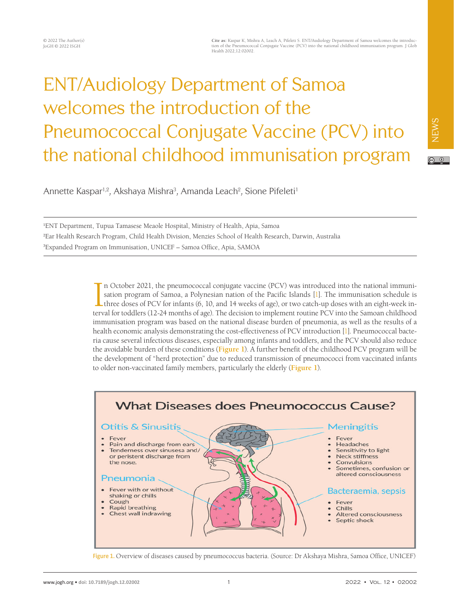# ENT/Audiology Department of Samoa welcomes the introduction of the Pneumococcal Conjugate Vaccine (PCV) into the national childhood immunisation program

NEWS

 $\circledcirc$ 

Annette Kaspar<sup>1,2</sup>, Akshaya Mishra<sup>3</sup>, Amanda Leach<sup>2</sup>, Sione Pifeleti<sup>1</sup>

1 ENT Department, Tupua Tamasese Meaole Hospital, Ministry of Health, Apia, Samoa 2 Ear Health Research Program, Child Health Division, Menzies School of Health Research, Darwin, Australia 3 Expanded Program on Immunisation, UNICEF – Samoa Office, Apia, SAMOA

> In October 2021, the pneumococcal conjugate vaccine (PCV) was introduced into the national immunisation program of Samoa, a Polynesian nation of the Pacific Islands [1]. The immunisation schedule is three doses of PCV for n October 2021, the pneumococcal conjugate vaccine (PCV) was introduced into the national immunisation program of Samoa, a Polynesian nation of the Pacific Islands [\[1\]](#page-3-0). The immunisation schedule is If three doses of PCV for infants (6, 10, and 14 weeks of age), or two catch-up doses with an eight-week inimmunisation program was based on the national disease burden of pneumonia, as well as the results of a health economic analysis demonstrating the cost-effectiveness of PCV introduction [\[1\]](#page-3-0). Pneumococcal bacteria cause several infectious diseases, especially among infants and toddlers, and the PCV should also reduce the avoidable burden of these conditions (**[Figure](#page-3-0) 1**). A further benefit of the childhood PCV program will be the development of "herd protection" due to reduced transmission of pneumococci from vaccinated infants to older non-vaccinated family members, particularly the elderly (**[Figure](#page-0-0) 1**).

<span id="page-0-0"></span>

**Figure 1.** Overview of diseases caused by pneumococcus bacteria. (Source: Dr Akshaya Mishra, Samoa Office, UNICEF)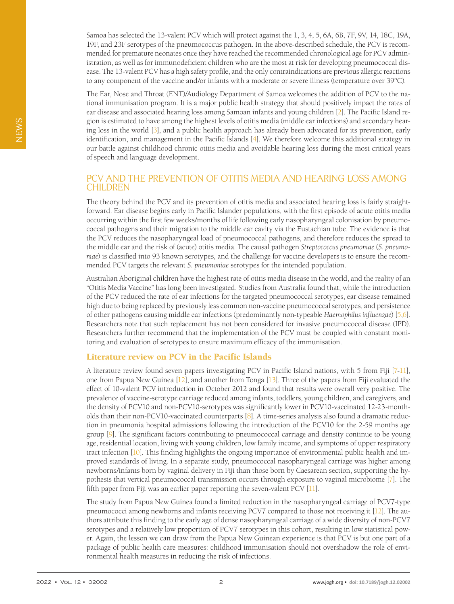Samoa has selected the 13-valent PCV which will protect against the 1, 3, 4, 5, 6A, 6B, 7F, 9V, 14, 18C, 19A, 19F, and 23F serotypes of the pneumococcus pathogen. In the above-described schedule, the PCV is recommended for premature neonates once they have reached the recommended chronological age for PCV administration, as well as for immunodeficient children who are the most at risk for developing pneumococcal disease. The 13-valent PCV has a high safety profile, and the only contraindications are previous allergic reactions to any component of the vaccine and/or infants with a moderate or severe illness (temperature over 39°C).

The Ear, Nose and Throat (ENT)/Audiology Department of Samoa welcomes the addition of PCV to the national immunisation program. It is a major public health strategy that should positively impact the rates of ear disease and associated hearing loss among Samoan infants and young children [\[2](#page-3-1)]. The Pacific Island region is estimated to have among the highest levels of otitis media (middle ear infections) and secondary hearing loss in the world [\[3\]](#page-3-2), and a public health approach has already been advocated for its prevention, early identification, and management in the Pacific Islands [[4\]](#page-3-3). We therefore welcome this additional strategy in our battle against childhood chronic otitis media and avoidable hearing loss during the most critical years of speech and language development.

# PCV AND THE PREVENTION OF OTITIS MEDIA AND HEARING LOSS AMONG **CHILDREN**

The theory behind the PCV and its prevention of otitis media and associated hearing loss is fairly straightforward. Ear disease begins early in Pacific Islander populations, with the first episode of acute otitis media occurring within the first few weeks/months of life following early nasopharyngeal colonisation by pneumococcal pathogens and their migration to the middle ear cavity via the Eustachian tube. The evidence is that the PCV reduces the nasopharyngeal load of pneumococcal pathogens, and therefore reduces the spread to the middle ear and the risk of (acute) otitis media. The causal pathogen *Streptococcus pneumoniae* (*S. pneumoniae*) is classified into 93 known serotypes, and the challenge for vaccine developers is to ensure the recommended PCV targets the relevant *S. pneumoniae* serotypes for the intended population.

Australian Aboriginal children have the highest rate of otitis media disease in the world, and the reality of an "Otitis Media Vaccine" has long been investigated. Studies from Australia found that, while the introduction of the PCV reduced the rate of ear infections for the targeted pneumococcal serotypes, ear disease remained high due to being replaced by previously less common non-vaccine pneumococcal serotypes, and persistence of other pathogens causing middle ear infections (predominantly non-typeable *Haemophilus influenzae*) [\[5](#page-3-4)[,6](#page-3-5)]. Researchers note that such replacement has not been considered for invasive pneumococcal disease (IPD). Researchers further recommend that the implementation of the PCV must be coupled with constant monitoring and evaluation of serotypes to ensure maximum efficacy of the immunisation.

## Literature review on PCV in the Pacific Islands

A literature review found seven papers investigating PCV in Pacific Island nations, with 5 from Fiji [\[7](#page-3-6)[-11](#page-3-7)], one from Papua New Guinea [\[12\]](#page-3-8), and another from Tonga [\[13\]](#page-3-9). Three of the papers from Fiji evaluated the effect of 10-valent PCV introduction in October 2012 and found that results were overall very positive. The prevalence of vaccine-serotype carriage reduced among infants, toddlers, young children, and caregivers, and the density of PCV10 and non-PCV10-serotypes was significantly lower in PCV10-vaccinated 12-23-montholds than their non-PCV10-vaccinated counterparts [\[8](#page-3-10)]. A time-series analysis also found a dramatic reduction in pneumonia hospital admissions following the introduction of the PCV10 for the 2-59 months age group [\[9](#page-3-11)]. The significant factors contributing to pneumococcal carriage and density continue to be young age, residential location, living with young children, low family income, and symptoms of upper respiratory tract infection [\[10](#page-3-12)]. This finding highlights the ongoing importance of environmental public health and improved standards of living. In a separate study, pneumococcal nasopharyngeal carriage was higher among newborns/infants born by vaginal delivery in Fiji than those born by Caesarean section, supporting the hypothesis that vertical pneumococcal transmission occurs through exposure to vaginal microbiome [\[7](#page-3-6)]. The fifth paper from Fiji was an earlier paper reporting the seven-valent PCV [\[11\]](#page-3-7).

The study from Papua New Guinea found a limited reduction in the nasopharyngeal carriage of PCV7-type pneumococci among newborns and infants receiving PCV7 compared to those not receiving it [\[12\]](#page-3-8). The authors attribute this finding to the early age of dense nasopharyngeal carriage of a wide diversity of non-PCV7 serotypes and a relatively low proportion of PCV7 serotypes in this cohort, resulting in low statistical power. Again, the lesson we can draw from the Papua New Guinean experience is that PCV is but one part of a package of public health care measures: childhood immunisation should not overshadow the role of environmental health measures in reducing the risk of infections.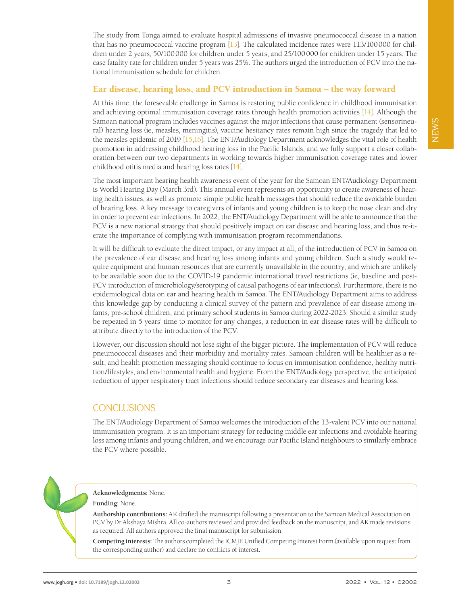The study from Tonga aimed to evaluate hospital admissions of invasive pneumococcal disease in a nation that has no pneumococcal vaccine program [\[13](#page-3-9)]. The calculated incidence rates were 113/100000 for children under 2 years, 50/100000 for children under 5 years, and 25/100000 for children under 15 years. The case fatality rate for children under 5 years was 25%. The authors urged the introduction of PCV into the national immunisation schedule for children.

## Ear disease, hearing loss, and PCV introduction in Samoa – the way forward

At this time, the foreseeable challenge in Samoa is restoring public confidence in childhood immunisation and achieving optimal immunisation coverage rates through health promotion activities [\[14\]](#page-3-13). Although the Samoan national program includes vaccines against the major infections that cause permanent (sensorineural) hearing loss (ie, measles, meningitis), vaccine hesitancy rates remain high since the tragedy that led to the measles epidemic of 2019 [\[15](#page-3-14)[,16\]](#page-3-15). The ENT/Audiology Department acknowledges the vital role of health promotion in addressing childhood hearing loss in the Pacific Islands, and we fully support a closer collaboration between our two departments in working towards higher immunisation coverage rates and lower childhood otitis media and hearing loss rates [\[14\]](#page-3-13).

The most important hearing health awareness event of the year for the Samoan ENT/Audiology Department is World Hearing Day (March 3rd). This annual event represents an opportunity to create awareness of hearing health issues, as well as promote simple public health messages that should reduce the avoidable burden of hearing loss. A key message to caregivers of infants and young children is to keep the nose clean and dry in order to prevent ear infections. In 2022, the ENT/Audiology Department will be able to announce that the PCV is a new national strategy that should positively impact on ear disease and hearing loss, and thus re-iterate the importance of complying with immunisation program recommendations.

It will be difficult to evaluate the direct impact, or any impact at all, of the introduction of PCV in Samoa on the prevalence of ear disease and hearing loss among infants and young children. Such a study would require equipment and human resources that are currently unavailable in the country, and which are unlikely to be available soon due to the COVID-19 pandemic international travel restrictions (ie, baseline and post-PCV introduction of microbiology/serotyping of causal pathogens of ear infections). Furthermore, there is no epidemiological data on ear and hearing health in Samoa. The ENT/Audiology Department aims to address this knowledge gap by conducting a clinical survey of the pattern and prevalence of ear disease among infants, pre-school children, and primary school students in Samoa during 2022-2023. Should a similar study be repeated in 5 years' time to monitor for any changes, a reduction in ear disease rates will be difficult to attribute directly to the introduction of the PCV.

However, our discussion should not lose sight of the bigger picture. The implementation of PCV will reduce pneumococcal diseases and their morbidity and mortality rates. Samoan children will be healthier as a result, and health promotion messaging should continue to focus on immunisation confidence, healthy nutrition/lifestyles, and environmental health and hygiene. From the ENT/Audiology perspective, the anticipated reduction of upper respiratory tract infections should reduce secondary ear diseases and hearing loss.

# **CONCLUSIONS**

The ENT/Audiology Department of Samoa welcomes the introduction of the 13-valent PCV into our national immunisation program. It is an important strategy for reducing middle ear infections and avoidable hearing loss among infants and young children, and we encourage our Pacific Island neighbours to similarly embrace the PCV where possible.

### **Acknowledgments:** None.

#### **Funding:** None.

**Authorship contributions:** AK drafted the manuscript following a presentation to the Samoan Medical Association on PCV by Dr Akshaya Mishra. All co-authors reviewed and provided feedback on the manuscript, and AK made revisions as required. All authors approved the final manuscript for submission.

**Competing interests:** The authors completed the ICMJE Unified Competing Interest Form (available upon request from the corresponding author) and declare no conflicts of interest.